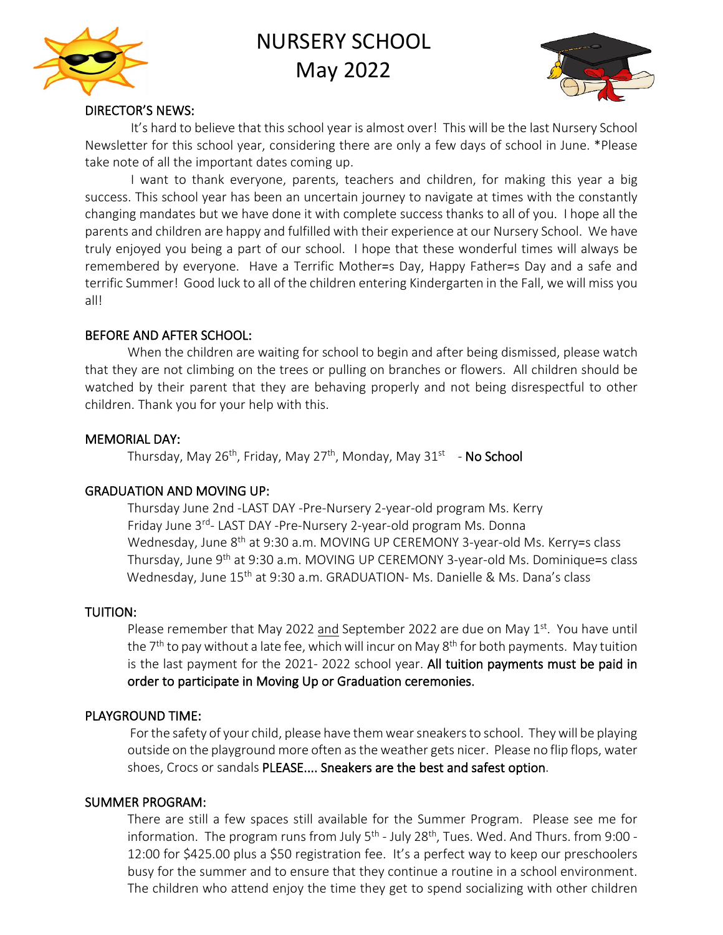

# NURSERY SCHOOL May 2022



#### DIRECTOR'S NEWS:

 It's hard to believe that this school year is almost over! This will be the last Nursery School Newsletter for this school year, considering there are only a few days of school in June. \*Please take note of all the important dates coming up.

I want to thank everyone, parents, teachers and children, for making this year a big success. This school year has been an uncertain journey to navigate at times with the constantly changing mandates but we have done it with complete success thanks to all of you. I hope all the parents and children are happy and fulfilled with their experience at our Nursery School. We have truly enjoyed you being a part of our school. I hope that these wonderful times will always be remembered by everyone. Have a Terrific Mother=s Day, Happy Father=s Day and a safe and terrific Summer! Good luck to all of the children entering Kindergarten in the Fall, we will miss you all!

#### BEFORE AND AFTER SCHOOL:

When the children are waiting for school to begin and after being dismissed, please watch that they are not climbing on the trees or pulling on branches or flowers. All children should be watched by their parent that they are behaving properly and not being disrespectful to other children. Thank you for your help with this.

#### MEMORIAL DAY:

Thursday, May 26<sup>th</sup>, Friday, May 27<sup>th</sup>, Monday, May 31<sup>st</sup> - No School

#### GRADUATION AND MOVING UP:

Thursday June 2nd -LAST DAY -Pre-Nursery 2-year-old program Ms. Kerry Friday June 3<sup>rd</sup>- LAST DAY -Pre-Nursery 2-year-old program Ms. Donna Wednesday, June 8<sup>th</sup> at 9:30 a.m. MOVING UP CEREMONY 3-year-old Ms. Kerry=s class Thursday, June 9th at 9:30 a.m. MOVING UP CEREMONY 3-year-old Ms. Dominique=s class Wednesday, June 15th at 9:30 a.m. GRADUATION- Ms. Danielle & Ms. Dana's class

#### TUITION:

Please remember that May 2022 and September 2022 are due on May  $1<sup>st</sup>$ . You have until the  $7<sup>th</sup>$  to pay without a late fee, which will incur on May  $8<sup>th</sup>$  for both payments. May tuition is the last payment for the 2021- 2022 school year. All tuition payments must be paid in order to participate in Moving Up or Graduation ceremonies.

#### PLAYGROUND TIME:

 For the safety of your child, please have them wear sneakers to school. They will be playing outside on the playground more often as the weather gets nicer. Please no flip flops, water shoes, Crocs or sandals PLEASE.... Sneakers are the best and safest option.

#### SUMMER PROGRAM:

There are still a few spaces still available for the Summer Program. Please see me for information. The program runs from July  $5<sup>th</sup>$  - July 28<sup>th</sup>, Tues. Wed. And Thurs. from 9:00 -12:00 for \$425.00 plus a \$50 registration fee. It's a perfect way to keep our preschoolers busy for the summer and to ensure that they continue a routine in a school environment. The children who attend enjoy the time they get to spend socializing with other children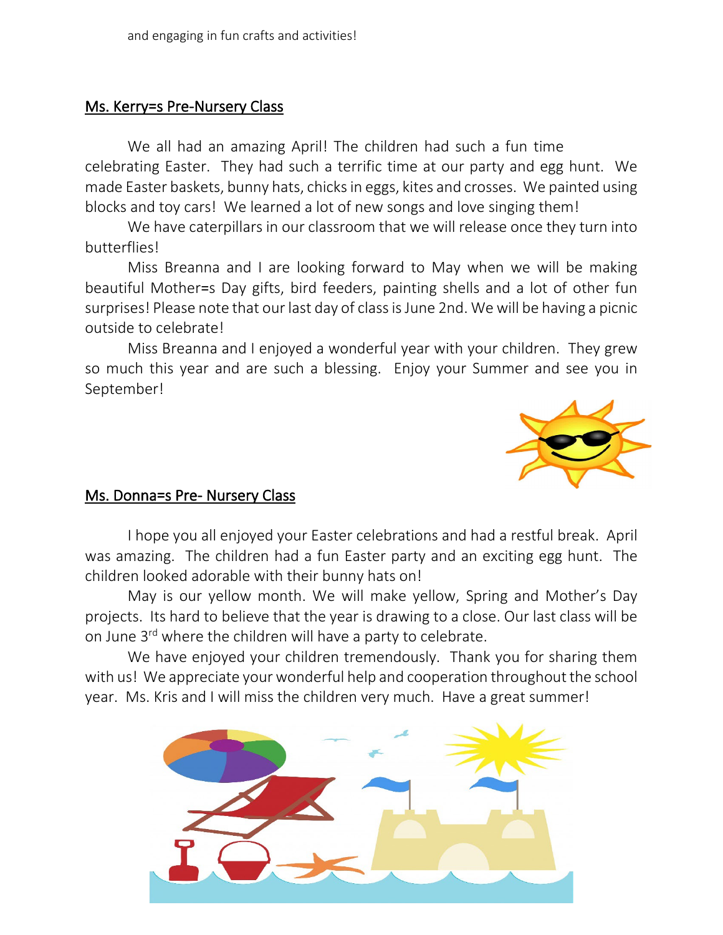## Ms. Kerry**=**s Pre-Nursery Class

We all had an amazing April! The children had such a fun time celebrating Easter. They had such a terrific time at our party and egg hunt. We made Easter baskets, bunny hats, chicks in eggs, kites and crosses. We painted using blocks and toy cars! We learned a lot of new songs and love singing them!

We have caterpillars in our classroom that we will release once they turn into butterflies!

Miss Breanna and I are looking forward to May when we will be making beautiful Mother=s Day gifts, bird feeders, painting shells and a lot of other fun surprises! Please note that our last day of class is June 2nd. We will be having a picnic outside to celebrate!

Miss Breanna and I enjoyed a wonderful year with your children. They grew so much this year and are such a blessing. Enjoy your Summer and see you in September!



### Ms. Donna**=**s Pre- Nursery Class

I hope you all enjoyed your Easter celebrations and had a [restful](https://creativecommons.org/licenses/by-nd/3.0/) break. April was amazing. The children had a fun Easter party and an exciting egg hunt. The children looked adorable with their bunny hats on!

May is our yellow month. We will make yellow, Spring and Mother's Day projects. Its hard to believe that the year is drawing to a close. Our last class will be on June 3<sup>rd</sup> where the children will have a party to celebrate.

We have enjoyed your children tremendously. Thank you for sharing them with us! We appreciate your wonderful help and cooperation throughout the school year. Ms. Kris and I will miss the children very much. Have a great summer!

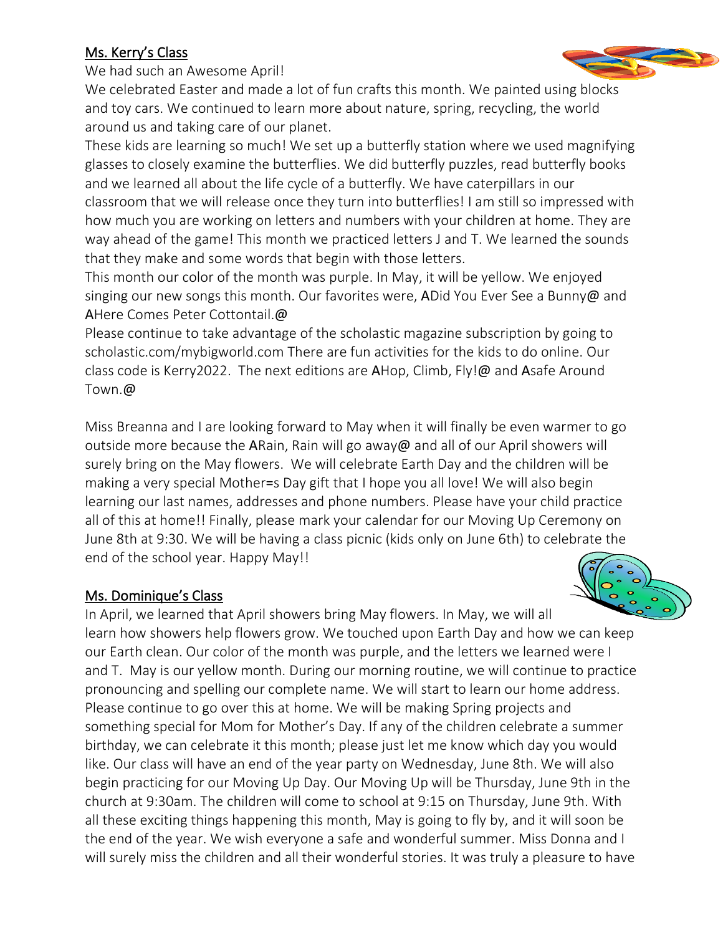## Ms. Kerry's Class

We had such an Awesome April!

We celebrated Easter and made a lot of fun crafts this month. We painted usin[g blocks](http://www.pngall.com/summer-png)  and toy cars. We continued to learn more about nature, spring, recycling, the [world](https://creativecommons.org/licenses/by-nc/3.0/)  around us and taking care of our planet.

These kids are learning so much! We set up a butterfly station where we used magnifying glasses to closely examine the butterflies. We did butterfly puzzles, read butterfly books and we learned all about the life cycle of a butterfly. We have caterpillars in our classroom that we will release once they turn into butterflies! I am still so impressed with how much you are working on letters and numbers with your children at home. They are way ahead of the game! This month we practiced letters J and T. We learned the sounds that they make and some words that begin with those letters.

This month our color of the month was purple. In May, it will be yellow. We enjoyed singing our new songs this month. Our favorites were, ADid You Ever See a Bunny@ and AHere Comes Peter Cottontail.@

Please continue to take advantage of the scholastic magazine subscription by going to scholastic.com/mybigworld.com There are fun activities for the kids to do online. Our class code is Kerry2022. The next editions are AHop, Climb, Fly!@ and Asafe Around Town.@

Miss Breanna and I are looking forward to May when it will finally be even warmer to go outside more because the ARain, Rain will go away@ and all of our April showers will surely bring on the May flowers. We will celebrate Earth Day and the children will be making a very special Mother=s Day gift that I hope you all love! We will also begin learning our last names, addresses and phone numbers. Please have your child practice all of this at home!! Finally, please mark your calendar for our Moving Up Ceremony on June 8th at 9:30. We will be having a class picnic (kids only on June 6th) to celebrate the end of the school year. Happy May!!

## Ms. Dominique's Class

In April, we learned that April showers bring May flowers. In May, we will all learn how showers help flowers grow. We touched upon Earth Day and how we can keep our Earth clean. Our color of the month was purple, and the letters we learned were I and T. May is our yellow month. During our morning routine, we will continue to practice pronouncing and spelling our complete name. We will start to learn our home address. Please continue to go over this at home. We will be making Spring projects and something special for Mom for Mother's Day. If any of the children celebrate a summer birthday, we can celebrate it this month; please just let me know which day you would like. Our class will have an end of the year party on Wednesday, June 8th. We will also begin practicing for our Moving Up Day. Our Moving Up will be Thursday, June 9th in the church at 9:30am. The children will come to school at 9:15 on Thursday, June 9th. With all these exciting things happening this month, May is going to fly by, and it will soon be the end of the year. We wish everyone a safe and wonderful summer. Miss Donna and I will surely miss the children and all their wonderful stories. It was truly a pleasure to have



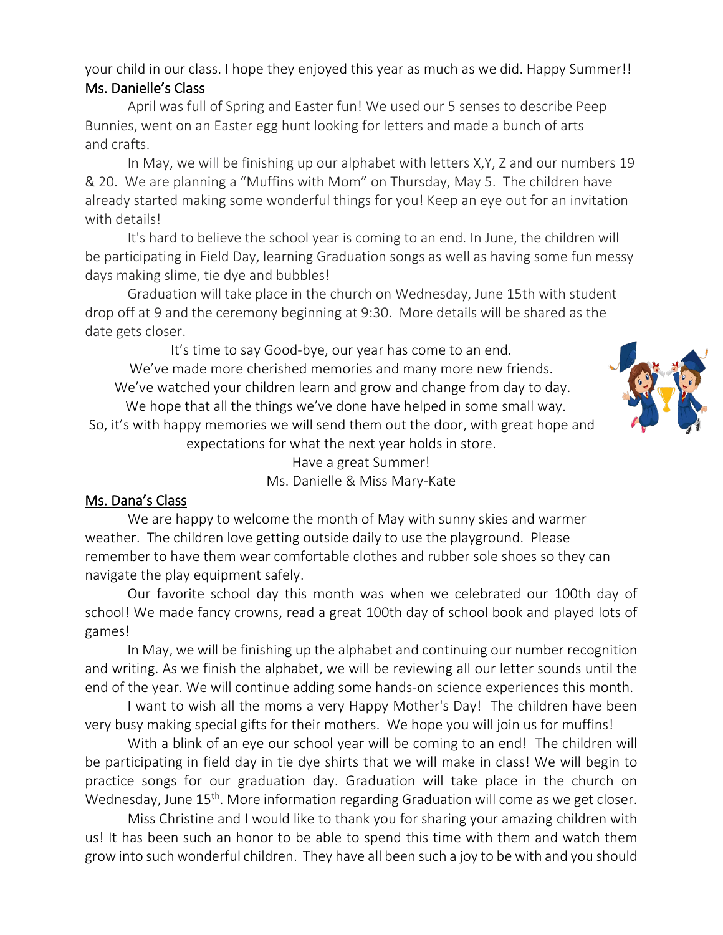## your child in our class. I hope they enjoyed this year as much as we did. Happy Summer!! Ms. Danielle's Class

April was full of Spring and Easter fun! We used our 5 senses to describe Peep Bunnies, went on an Easter egg hunt looking for letters and made a bunch of arts and crafts.

In May, we will be finishing up our alphabet with letters X,Y, Z and our numbers 19 & 20. We are planning a "Muffins with Mom" on Thursday, May 5. The children have already started making some wonderful things for you! Keep an eye out for an invitation with details!

It's hard to believe the school year is coming to an end. In June, the children will be participating in Field Day, learning Graduation songs as well as having some fun messy days making slime, tie dye and bubbles!

Graduation will take place in the church on Wednesday, June 15th with student drop off at 9 and the ceremony beginning at 9:30. More details will be shared as the date gets closer.

It's time to say Good-bye, our year has come to an end.

We've made more cherished memories and many more new friends. We've watched your children learn and grow and change from day to day.

We hope that all the things we've done have helped in some small way. So, it's with happy memories we will send them out the door, with great hope and expectations for what the next year holds in store.

Have a great Summer! Ms. Danielle & Miss Mary-Kate

# Ms. Dana's Class

We are happy to welcome the month of May with sunny skies and warmer weather. The children love getting outside daily to use the playground. Please remember to have them wear comfortable clothes and rubber sole shoes so they can navigate the play equipment safely.

Our favorite school day this month was when we celebrated our 100th day of school! We made fancy crowns, read a great 100th day of school book and played lots of games!

In May, we will be finishing up the alphabet and continuing our number recognition and writing. As we finish the alphabet, we will be reviewing all our letter sounds until the end of the year. We will continue adding some hands-on science experiences this month.

I want to wish all the moms a very Happy Mother's Day! The children have been very busy making special gifts for their mothers. We hope you will join us for muffins!

With a blink of an eye our school year will be coming to an end! The children will be participating in field day in tie dye shirts that we will make in class! We will begin to practice songs for our graduation day. Graduation will take place in the church on Wednesday, June 15<sup>th</sup>. More information regarding Graduation will come as we get closer.

Miss Christine and I would like to thank you for sharing your amazing children with us! It has been such an honor to be able to spend this time with them and watch them grow into such wonderful children. They have all been such a joy to be with and you should